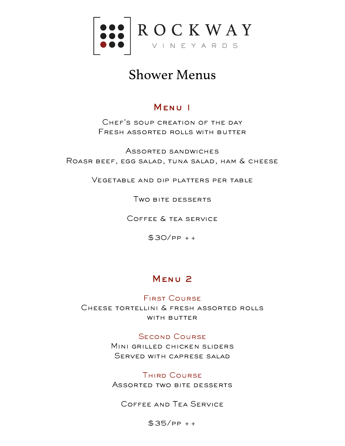

# Shower Menus

### Menu 1

Chef's soup creation of the day Fresh assorted rolls with butter

Assorted sandwiches Roasr beef, egg salad, tuna salad, ham & cheese

Vegetable and dip platters per table

Two bite desserts

Coffee & tea service

 $$30/PP + +$ 

## Menu 2

### First Course

Cheese tortellini & fresh assorted rolls WITH BUTTER

### **SECOND COURSE**

Mini grilled chicken sliders Served with caprese salad

### Third Course

Assorted two bite desserts

Coffee and Tea Service

 $$35/PP + +$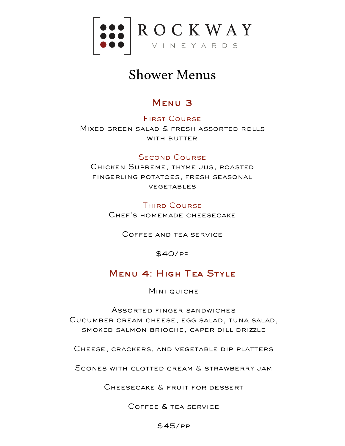

# Shower Menus

## Menu 3

First Course

Mixed green salad & fresh assorted rolls WITH BUTTER

### Second Course

CHICKEN SUPREME, THYME JUS, ROASTED fingerling potatoes, fresh seasonal vegetables

> **THIRD COURSE** Chef's homemade cheesecake

> > Coffee and tea service

\$40/pp

### Menu 4: High Tea Style

MINI QUICHE

Assorted finger sandwiches Cucumber cream cheese, egg salad, tuna salad, smoked salmon brioche, caper dill drizzle

Cheese, crackers, and vegetable dip platters

Scones with clotted cream & strawberry jam

Cheesecake & fruit for dessert

Coffee & tea service

\$45/pp